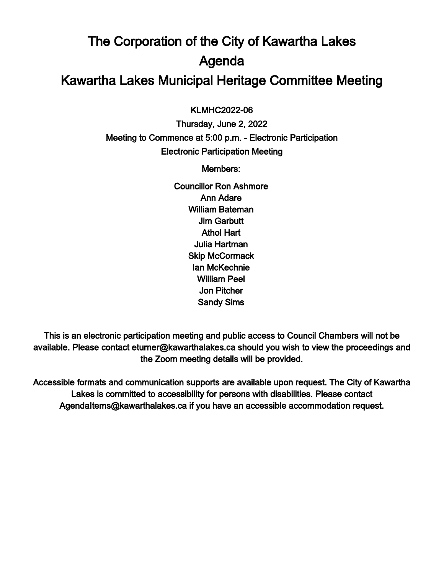## The Corporation of the City of Kawartha Lakes Agenda Kawartha Lakes Municipal Heritage Committee Meeting

 $\overline{a}$ KLMHC2022-06

Thursday, June 2, 2022 Meeting to Commence at 5:00 p.m. - Electronic Participation Electronic Participation Meeting

Members:

Councillor Ron Ashmore Ann Adare William Bateman Jim Garbutt Athol Hart Julia Hartman Skip McCormack Ian McKechnie William Peel Jon Pitcher Sandy Sims

This is an electronic participation meeting and public access to Council Chambers will not be available. Please contact eturner@kawarthalakes.ca should you wish to view the proceedings and the Zoom meeting details will be provided.

Accessible formats and communication supports are available upon request. The City of Kawartha Lakes is committed to accessibility for persons with disabilities. Please contact AgendaItems@kawarthalakes.ca if you have an accessible accommodation request.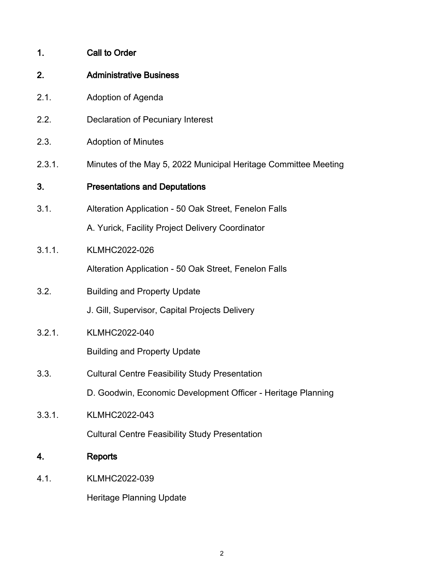| 1.     | <b>Call to Order</b>                                            |
|--------|-----------------------------------------------------------------|
| 2.     | <b>Administrative Business</b>                                  |
| 2.1.   | Adoption of Agenda                                              |
| 2.2.   | Declaration of Pecuniary Interest                               |
| 2.3.   | <b>Adoption of Minutes</b>                                      |
| 2.3.1. | Minutes of the May 5, 2022 Municipal Heritage Committee Meeting |
| 3.     | <b>Presentations and Deputations</b>                            |
| 3.1.   | Alteration Application - 50 Oak Street, Fenelon Falls           |
|        | A. Yurick, Facility Project Delivery Coordinator                |
| 3.1.1. | <b>KLMHC2022-026</b>                                            |
|        | Alteration Application - 50 Oak Street, Fenelon Falls           |
| 3.2.   | <b>Building and Property Update</b>                             |
|        | J. Gill, Supervisor, Capital Projects Delivery                  |
| 3.2.1. | <b>KLMHC2022-040</b>                                            |
|        | <b>Building and Property Update</b>                             |
| 3.3.   | <b>Cultural Centre Feasibility Study Presentation</b>           |
|        | D. Goodwin, Economic Development Officer - Heritage Planning    |
| 3.3.1. | KLMHC2022-043                                                   |
|        | <b>Cultural Centre Feasibility Study Presentation</b>           |
|        |                                                                 |

## 4. Reports

4.1. KLMHC2022-039

Heritage Planning Update